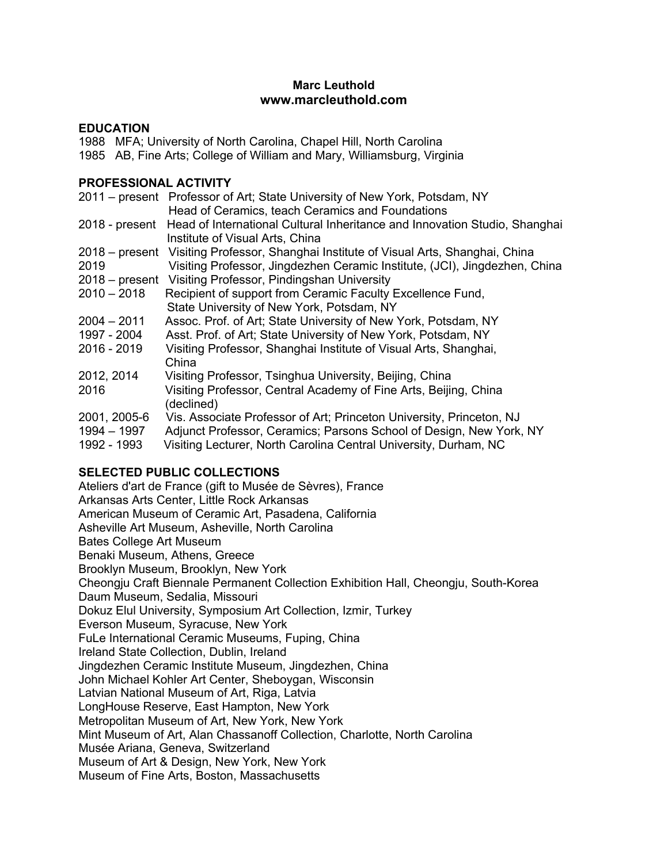# **Marc Leuthold www.marcleuthold.com**

## **EDUCATION**

1988 MFA; University of North Carolina, Chapel Hill, North Carolina

1985 AB, Fine Arts; College of William and Mary, Williamsburg, Virginia

# **PROFESSIONAL ACTIVITY**

|               | 2011 – present Professor of Art; State University of New York, Potsdam, NY                |
|---------------|-------------------------------------------------------------------------------------------|
|               | Head of Ceramics, teach Ceramics and Foundations                                          |
|               | 2018 - present Head of International Cultural Inheritance and Innovation Studio, Shanghai |
|               | Institute of Visual Arts, China                                                           |
|               | 2018 – present Visiting Professor, Shanghai Institute of Visual Arts, Shanghai, China     |
| 2019          | Visiting Professor, Jingdezhen Ceramic Institute, (JCI), Jingdezhen, China                |
|               | 2018 – present Visiting Professor, Pindingshan University                                 |
| $2010 - 2018$ | Recipient of support from Ceramic Faculty Excellence Fund,                                |
|               | State University of New York, Potsdam, NY                                                 |
| $2004 - 2011$ | Assoc. Prof. of Art; State University of New York, Potsdam, NY                            |
| 1997 - 2004   | Asst. Prof. of Art; State University of New York, Potsdam, NY                             |
| 2016 - 2019   | Visiting Professor, Shanghai Institute of Visual Arts, Shanghai,                          |
|               | China                                                                                     |
| 2012, 2014    | Visiting Professor, Tsinghua University, Beijing, China                                   |
| 2016          | Visiting Professor, Central Academy of Fine Arts, Beijing, China                          |
|               | (declined)                                                                                |
| 2001, 2005-6  | Vis. Associate Professor of Art; Princeton University, Princeton, NJ                      |
| 1994 - 1997   | Adjunct Professor, Ceramics; Parsons School of Design, New York, NY                       |
| 1992 - 1993   | Visiting Lecturer, North Carolina Central University, Durham, NC                          |

# **SELECTED PUBLIC COLLECTIONS**

Ateliers d'art de France (gift to Musée de Sèvres), France Arkansas Arts Center, Little Rock Arkansas American Museum of Ceramic Art, Pasadena, California Asheville Art Museum, Asheville, North Carolina Bates College Art Museum Benaki Museum, Athens, Greece Brooklyn Museum, Brooklyn, New York Cheongju Craft Biennale Permanent Collection Exhibition Hall, Cheongju, South-Korea Daum Museum, Sedalia, Missouri Dokuz Elul University, Symposium Art Collection, Izmir, Turkey Everson Museum, Syracuse, New York FuLe International Ceramic Museums, Fuping, China Ireland State Collection, Dublin, Ireland Jingdezhen Ceramic Institute Museum, Jingdezhen, China John Michael Kohler Art Center, Sheboygan, Wisconsin Latvian National Museum of Art, Riga, Latvia LongHouse Reserve, East Hampton, New York Metropolitan Museum of Art, New York, New York Mint Museum of Art, Alan Chassanoff Collection, Charlotte, North Carolina Musée Ariana, Geneva, Switzerland Museum of Art & Design, New York, New York Museum of Fine Arts, Boston, Massachusetts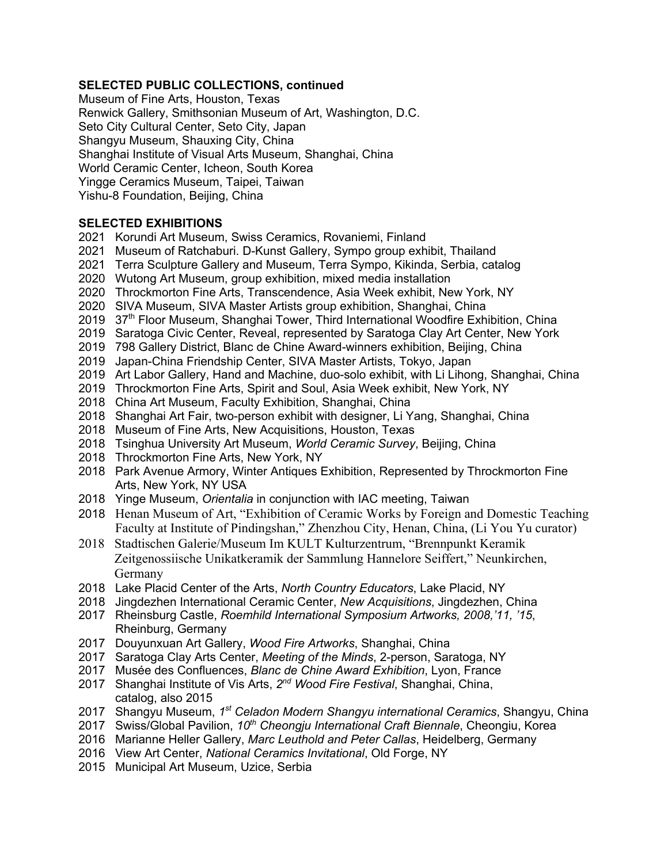# **SELECTED PUBLIC COLLECTIONS, continued**

Museum of Fine Arts, Houston, Texas Renwick Gallery, Smithsonian Museum of Art, Washington, D.C. Seto City Cultural Center, Seto City, Japan Shangyu Museum, Shauxing City, China Shanghai Institute of Visual Arts Museum, Shanghai, China World Ceramic Center, Icheon, South Korea Yingge Ceramics Museum, Taipei, Taiwan Yishu-8 Foundation, Beijing, China

## **SELECTED EXHIBITIONS**

- 2021 Korundi Art Museum, Swiss Ceramics, Rovaniemi, Finland
- 2021 Museum of Ratchaburi. D-Kunst Gallery, Sympo group exhibit, Thailand
- 2021 Terra Sculpture Gallery and Museum, Terra Sympo, Kikinda, Serbia, catalog
- 2020 Wutong Art Museum, group exhibition, mixed media installation
- 2020 Throckmorton Fine Arts, Transcendence, Asia Week exhibit, New York, NY
- 2020 SIVA Museum, SIVA Master Artists group exhibition, Shanghai, China
- $2019$   $37<sup>th</sup>$  Floor Museum, Shanghai Tower, Third International Woodfire Exhibition, China
- 2019 Saratoga Civic Center, Reveal, represented by Saratoga Clay Art Center, New York
- 2019 798 Gallery District, Blanc de Chine Award-winners exhibition, Beijing, China
- 2019 Japan-China Friendship Center, SIVA Master Artists, Tokyo, Japan
- 2019 Art Labor Gallery, Hand and Machine, duo-solo exhibit, with Li Lihong, Shanghai, China
- 2019 Throckmorton Fine Arts, Spirit and Soul, Asia Week exhibit, New York, NY
- 2018 China Art Museum, Faculty Exhibition, Shanghai, China
- 2018 Shanghai Art Fair, two-person exhibit with designer, Li Yang, Shanghai, China
- 2018 Museum of Fine Arts, New Acquisitions, Houston, Texas
- 2018 Tsinghua University Art Museum, *World Ceramic Survey*, Beijing, China
- 2018 Throckmorton Fine Arts, New York, NY
- 2018 Park Avenue Armory, Winter Antiques Exhibition, Represented by Throckmorton Fine Arts, New York, NY USA
- 2018 Yinge Museum, *Orientalia* in conjunction with IAC meeting, Taiwan
- 2018 Henan Museum of Art, "Exhibition of Ceramic Works by Foreign and Domestic Teaching Faculty at Institute of Pindingshan," Zhenzhou City, Henan, China, (Li You Yu curator)
- 2018 Stadtischen Galerie/Museum Im KULT Kulturzentrum, "Brennpunkt Keramik Zeitgenossiische Unikatkeramik der Sammlung Hannelore Seiffert," Neunkirchen, Germany
- 2018 Lake Placid Center of the Arts, *North Country Educators*, Lake Placid, NY
- 2018 Jingdezhen International Ceramic Center, *New Acquisitions*, Jingdezhen, China
- 2017 Rheinsburg Castle, *Roemhild International Symposium Artworks, 2008,'11, '15*, Rheinburg, Germany
- 2017 Douyunxuan Art Gallery, *Wood Fire Artworks*, Shanghai, China
- 2017 Saratoga Clay Arts Center, *Meeting of the Minds*, 2-person, Saratoga, NY
- 2017 Musée des Confluences, *Blanc de Chine Award Exhibition*, Lyon, France
- 2017 Shanghai Institute of Vis Arts, *2nd Wood Fire Festival*, Shanghai, China, catalog, also 2015
- 2017 Shangyu Museum, *1st Celadon Modern Shangyu international Ceramics*, Shangyu, China
- 2017 Swiss/Global Pavilion, *10th Cheongju International Craft Biennale*, Cheongiu, Korea
- 2016 Marianne Heller Gallery, *Marc Leuthold and Peter Callas*, Heidelberg, Germany
- 2016 View Art Center, *National Ceramics Invitational*, Old Forge, NY
- 2015 Municipal Art Museum, Uzice, Serbia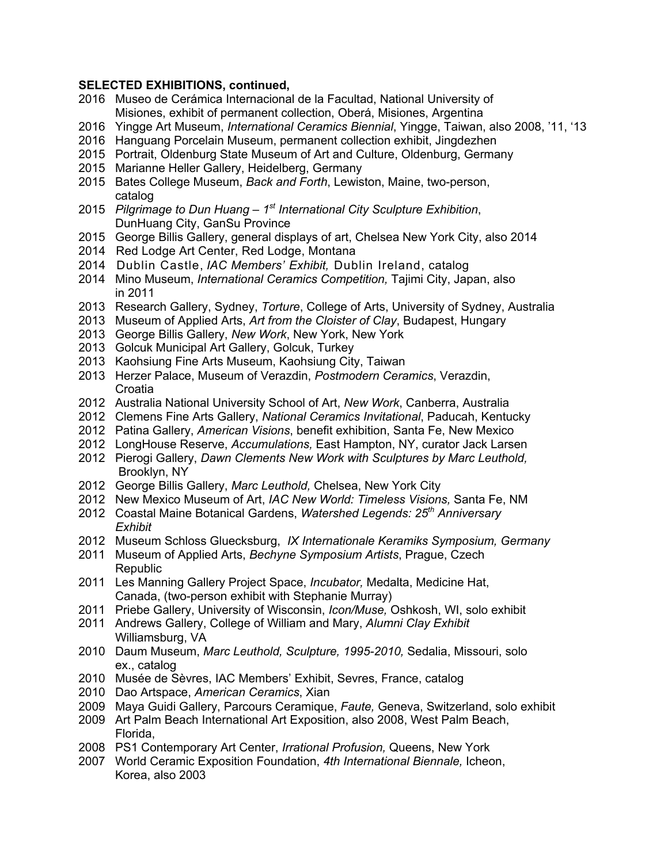#### **SELECTED EXHIBITIONS, continued,**

- 2016 Museo de Cerámica Internacional de la Facultad, National University of Misiones, exhibit of permanent collection, Oberá, Misiones, Argentina
- 2016 Yingge Art Museum, *International Ceramics Biennial*, Yingge, Taiwan, also 2008, '11, '13
- 2016 Hanguang Porcelain Museum, permanent collection exhibit, Jingdezhen
- 2015 Portrait, Oldenburg State Museum of Art and Culture, Oldenburg, Germany
- 2015 Marianne Heller Gallery, Heidelberg, Germany
- 2015 Bates College Museum, *Back and Forth*, Lewiston, Maine, two-person, catalog
- 2015 *Pilgrimage to Dun Huang – 1st International City Sculpture Exhibition*, DunHuang City, GanSu Province
- 2015 George Billis Gallery, general displays of art, Chelsea New York City, also 2014
- 2014 Red Lodge Art Center, Red Lodge, Montana
- 2014 Dublin Castle, *IAC Members' Exhibit,* Dublin Ireland, catalog
- 2014 Mino Museum, *International Ceramics Competition,* Tajimi City, Japan, also in 2011
- 2013 Research Gallery, Sydney, *Torture*, College of Arts, University of Sydney, Australia
- 2013 Museum of Applied Arts, *Art from the Cloister of Clay*, Budapest, Hungary
- 2013 George Billis Gallery, *New Work*, New York, New York
- 2013 Golcuk Municipal Art Gallery, Golcuk, Turkey
- 2013 Kaohsiung Fine Arts Museum, Kaohsiung City, Taiwan
- 2013 Herzer Palace, Museum of Verazdin, *Postmodern Ceramics*, Verazdin, **Croatia**
- 2012 Australia National University School of Art, *New Work*, Canberra, Australia
- 2012 Clemens Fine Arts Gallery, *National Ceramics Invitational*, Paducah, Kentucky
- 2012 Patina Gallery, *American Visions*, benefit exhibition, Santa Fe, New Mexico
- 2012 LongHouse Reserve, *Accumulations,* East Hampton, NY, curator Jack Larsen
- 2012 Pierogi Gallery, *Dawn Clements New Work with Sculptures by Marc Leuthold,* Brooklyn, NY
- 2012 George Billis Gallery, *Marc Leuthold,* Chelsea, New York City
- 2012 New Mexico Museum of Art, *IAC New World: Timeless Visions,* Santa Fe, NM
- 2012 Coastal Maine Botanical Gardens, *Watershed Legends: 25th Anniversary Exhibit*
- 2012 Museum Schloss Gluecksburg, *IX Internationale Keramiks Symposium, Germany*
- 2011 Museum of Applied Arts, *Bechyne Symposium Artists*, Prague, Czech **Republic**
- 2011 Les Manning Gallery Project Space, *Incubator,* Medalta, Medicine Hat, Canada, (two-person exhibit with Stephanie Murray)
- 2011 Priebe Gallery, University of Wisconsin, *Icon/Muse,* Oshkosh, WI, solo exhibit
- 2011 Andrews Gallery, College of William and Mary, *Alumni Clay Exhibit* Williamsburg, VA
- 2010 Daum Museum, *Marc Leuthold, Sculpture, 1995-2010,* Sedalia, Missouri, solo ex., catalog
- 2010 Musée de Sèvres, IAC Members' Exhibit, Sevres, France, catalog
- 2010 Dao Artspace, *American Ceramics*, Xian
- 2009 Maya Guidi Gallery, Parcours Ceramique, *Faute,* Geneva, Switzerland, solo exhibit
- 2009 Art Palm Beach International Art Exposition, also 2008, West Palm Beach, Florida,
- 2008 PS1 Contemporary Art Center, *Irrational Profusion,* Queens, New York
- 2007 World Ceramic Exposition Foundation, *4th International Biennale,* Icheon, Korea, also 2003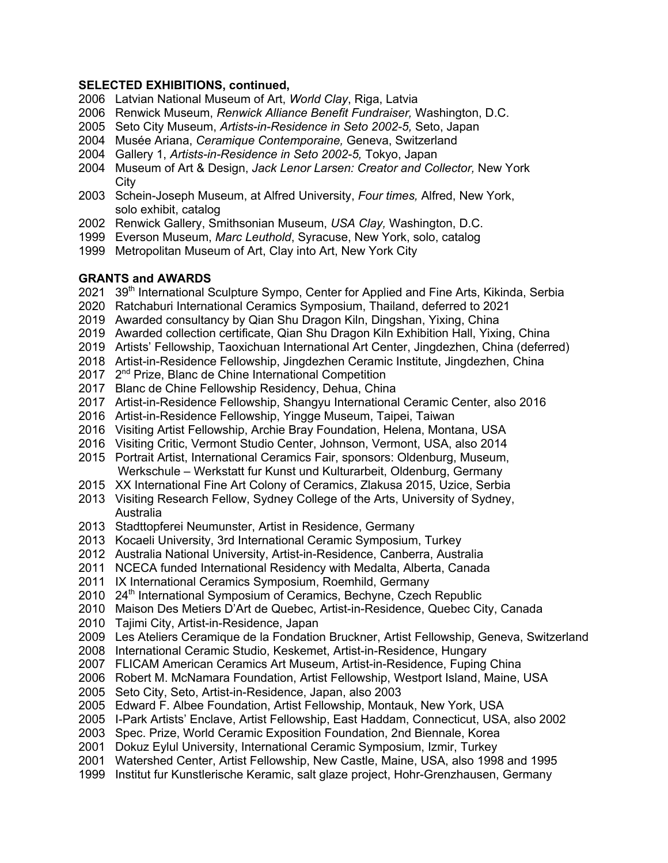## **SELECTED EXHIBITIONS, continued,**

- 2006 Latvian National Museum of Art, *World Clay*, Riga, Latvia
- 2006 Renwick Museum, *Renwick Alliance Benefit Fundraiser,* Washington, D.C.
- 2005 Seto City Museum, *Artists-in-Residence in Seto 2002-5,* Seto, Japan
- 2004 Musée Ariana, *Ceramique Contemporaine,* Geneva, Switzerland
- 2004 Gallery 1, *Artists-in-Residence in Seto 2002-5,* Tokyo, Japan
- 2004 Museum of Art & Design, *Jack Lenor Larsen: Creator and Collector,* New York **City**
- 2003 Schein-Joseph Museum, at Alfred University, *Four times,* Alfred, New York, solo exhibit, catalog
- 2002 Renwick Gallery, Smithsonian Museum, *USA Clay,* Washington, D.C.
- 1999 Everson Museum, *Marc Leuthold*, Syracuse, New York, solo, catalog
- 1999 Metropolitan Museum of Art, Clay into Art, New York City

# **GRANTS and AWARDS**

- 2021 39<sup>th</sup> International Sculpture Sympo, Center for Applied and Fine Arts, Kikinda, Serbia
- 2020 Ratchaburi International Ceramics Symposium, Thailand, deferred to 2021
- 2019 Awarded consultancy by Qian Shu Dragon Kiln, Dingshan, Yixing, China
- 2019 Awarded collection certificate, Qian Shu Dragon Kiln Exhibition Hall, Yixing, China
- 2019 Artists' Fellowship, Taoxichuan International Art Center, Jingdezhen, China (deferred)
- 2018 Artist-in-Residence Fellowship, Jingdezhen Ceramic Institute, Jingdezhen, China
- 2017 2nd Prize, Blanc de Chine International Competition
- 2017 Blanc de Chine Fellowship Residency, Dehua, China
- 2017 Artist-in-Residence Fellowship, Shangyu International Ceramic Center, also 2016
- 2016 Artist-in-Residence Fellowship, Yingge Museum, Taipei, Taiwan
- 2016 Visiting Artist Fellowship, Archie Bray Foundation, Helena, Montana, USA
- 2016 Visiting Critic, Vermont Studio Center, Johnson, Vermont, USA, also 2014
- 2015 Portrait Artist, International Ceramics Fair, sponsors: Oldenburg, Museum, Werkschule – Werkstatt fur Kunst und Kulturarbeit, Oldenburg, Germany
- 2015 XX International Fine Art Colony of Ceramics, Zlakusa 2015, Uzice, Serbia
- 2013 Visiting Research Fellow, Sydney College of the Arts, University of Sydney, Australia
- 2013 Stadttopferei Neumunster, Artist in Residence, Germany
- 2013 Kocaeli University, 3rd International Ceramic Symposium, Turkey
- 2012 Australia National University, Artist-in-Residence, Canberra, Australia
- 2011 NCECA funded International Residency with Medalta, Alberta, Canada
- 2011 IX International Ceramics Symposium, Roemhild, Germany
- 2010 24th International Symposium of Ceramics, Bechyne, Czech Republic
- 2010 Maison Des Metiers D'Art de Quebec, Artist-in-Residence, Quebec City, Canada
- 2010 Tajimi City, Artist-in-Residence, Japan
- 2009 Les Ateliers Ceramique de la Fondation Bruckner, Artist Fellowship, Geneva, Switzerland
- 2008 International Ceramic Studio, Keskemet, Artist-in-Residence, Hungary
- 2007 FLICAM American Ceramics Art Museum, Artist-in-Residence, Fuping China
- 2006 Robert M. McNamara Foundation, Artist Fellowship, Westport Island, Maine, USA
- 2005 Seto City, Seto, Artist-in-Residence, Japan, also 2003
- 2005 Edward F. Albee Foundation, Artist Fellowship, Montauk, New York, USA
- 2005 I-Park Artists' Enclave, Artist Fellowship, East Haddam, Connecticut, USA, also 2002
- 2003 Spec. Prize, World Ceramic Exposition Foundation, 2nd Biennale, Korea
- 2001 Dokuz Eylul University, International Ceramic Symposium, Izmir, Turkey
- 2001 Watershed Center, Artist Fellowship, New Castle, Maine, USA, also 1998 and 1995
- 1999 Institut fur Kunstlerische Keramic, salt glaze project, Hohr-Grenzhausen, Germany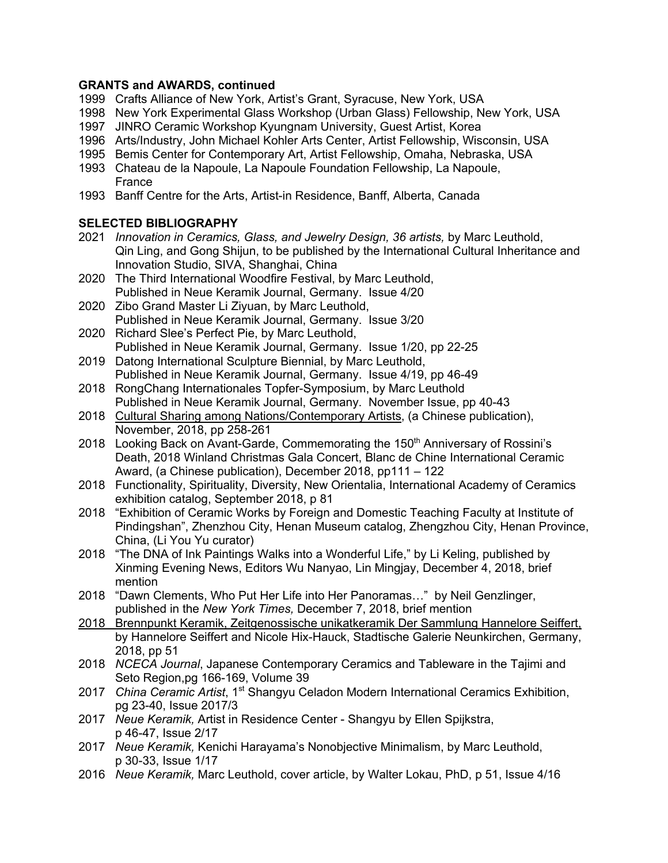# **GRANTS and AWARDS, continued**

- 1999 Crafts Alliance of New York, Artist's Grant, Syracuse, New York, USA
- 1998 New York Experimental Glass Workshop (Urban Glass) Fellowship, New York, USA
- 1997 JINRO Ceramic Workshop Kyungnam University, Guest Artist, Korea
- 1996 Arts/Industry, John Michael Kohler Arts Center, Artist Fellowship, Wisconsin, USA
- 1995 Bemis Center for Contemporary Art, Artist Fellowship, Omaha, Nebraska, USA
- 1993 Chateau de la Napoule, La Napoule Foundation Fellowship, La Napoule, France
- 1993 Banff Centre for the Arts, Artist-in Residence, Banff, Alberta, Canada

# **SELECTED BIBLIOGRAPHY**

- 2021 *Innovation in Ceramics, Glass, and Jewelry Design, 36 artists,* by Marc Leuthold, Qin Ling, and Gong Shijun, to be published by the International Cultural Inheritance and Innovation Studio, SIVA, Shanghai, China
- 2020 The Third International Woodfire Festival, by Marc Leuthold, Published in Neue Keramik Journal, Germany. Issue 4/20
- 2020 Zibo Grand Master Li Ziyuan, by Marc Leuthold, Published in Neue Keramik Journal, Germany. Issue 3/20
- 2020 Richard Slee's Perfect Pie, by Marc Leuthold, Published in Neue Keramik Journal, Germany. Issue 1/20, pp 22-25
- 2019 Datong International Sculpture Biennial, by Marc Leuthold, Published in Neue Keramik Journal, Germany. Issue 4/19, pp 46-49
- 2018 RongChang Internationales Topfer-Symposium, by Marc Leuthold Published in Neue Keramik Journal, Germany. November Issue, pp 40-43
- 2018 Cultural Sharing among Nations/Contemporary Artists, (a Chinese publication), November, 2018, pp 258-261
- 2018 Looking Back on Avant-Garde, Commemorating the 150<sup>th</sup> Anniversary of Rossini's Death, 2018 Winland Christmas Gala Concert, Blanc de Chine International Ceramic Award, (a Chinese publication), December 2018, pp111 – 122
- 2018 Functionality, Spirituality, Diversity, New Orientalia, International Academy of Ceramics exhibition catalog, September 2018, p 81
- 2018 "Exhibition of Ceramic Works by Foreign and Domestic Teaching Faculty at Institute of Pindingshan", Zhenzhou City, Henan Museum catalog, Zhengzhou City, Henan Province, China, (Li You Yu curator)
- 2018 "The DNA of Ink Paintings Walks into a Wonderful Life," by Li Keling, published by Xinming Evening News, Editors Wu Nanyao, Lin Mingjay, December 4, 2018, brief mention
- 2018 "Dawn Clements, Who Put Her Life into Her Panoramas…" by Neil Genzlinger, published in the *New York Times,* December 7, 2018, brief mention
- 2018 Brennpunkt Keramik, Zeitgenossische unikatkeramik Der Sammlung Hannelore Seiffert, by Hannelore Seiffert and Nicole Hix-Hauck, Stadtische Galerie Neunkirchen, Germany, 2018, pp 51
- 2018 *NCECA Journal*, Japanese Contemporary Ceramics and Tableware in the Tajimi and Seto Region,pg 166-169, Volume 39
- 2017 *China Ceramic Artist*, 1st Shangyu Celadon Modern International Ceramics Exhibition, pg 23-40, Issue 2017/3
- 2017 *Neue Keramik,* Artist in Residence Center Shangyu by Ellen Spijkstra, p 46-47, Issue 2/17
- 2017 *Neue Keramik,* Kenichi Harayama's Nonobjective Minimalism, by Marc Leuthold, p 30-33, Issue 1/17
- 2016 *Neue Keramik,* Marc Leuthold, cover article, by Walter Lokau, PhD, p 51, Issue 4/16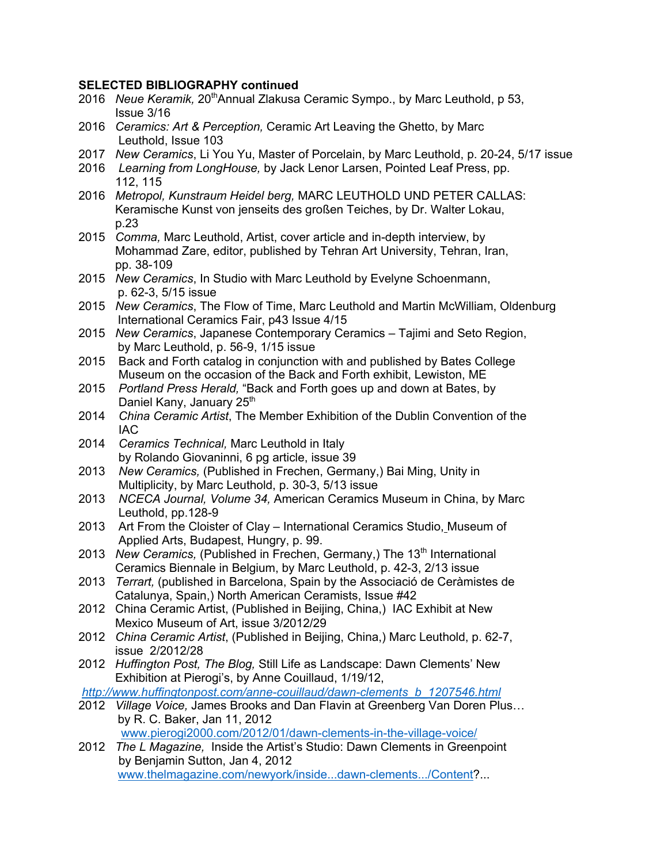## **SELECTED BIBLIOGRAPHY continued**

- 2016 Neue Keramik, 20<sup>th</sup>Annual Zlakusa Ceramic Sympo., by Marc Leuthold, p 53, Issue 3/16
- 2016 *Ceramics: Art & Perception,* Ceramic Art Leaving the Ghetto, by Marc Leuthold, Issue 103
- 2017 *New Ceramics*, Li You Yu, Master of Porcelain, by Marc Leuthold, p. 20-24, 5/17 issue
- 2016 *Learning from LongHouse,* by Jack Lenor Larsen, Pointed Leaf Press, pp. 112, 115
- 2016 *Metropol, Kunstraum Heidel berg,* MARC LEUTHOLD UND PETER CALLAS: Keramische Kunst von jenseits des großen Teiches, by Dr. Walter Lokau, p.23
- 2015 *Comma,* Marc Leuthold, Artist, cover article and in-depth interview, by Mohammad Zare, editor, published by Tehran Art University, Tehran, Iran, pp. 38-109
- 2015 *New Ceramics*, In Studio with Marc Leuthold by Evelyne Schoenmann, p. 62-3, 5/15 issue
- 2015 *New Ceramics*, The Flow of Time, Marc Leuthold and Martin McWilliam, Oldenburg International Ceramics Fair, p43 Issue 4/15
- 2015 *New Ceramics*, Japanese Contemporary Ceramics Tajimi and Seto Region, by Marc Leuthold, p. 56-9, 1/15 issue
- 2015 Back and Forth catalog in conjunction with and published by Bates College Museum on the occasion of the Back and Forth exhibit, Lewiston, ME
- 2015 *Portland Press Herald,* "Back and Forth goes up and down at Bates, by Daniel Kany, January 25<sup>th</sup>
- 2014 *China Ceramic Artist*, The Member Exhibition of the Dublin Convention of the IAC
- 2014 *Ceramics Technical,* Marc Leuthold in Italy by Rolando Giovaninni, 6 pg article, issue 39
- 2013 *New Ceramics,* (Published in Frechen, Germany,) Bai Ming, Unity in Multiplicity, by Marc Leuthold, p. 30-3, 5/13 issue
- 2013 *NCECA Journal, Volume 34,* American Ceramics Museum in China, by Marc Leuthold, pp.128-9
- 2013 Art From the Cloister of Clay International Ceramics Studio, Museum of Applied Arts, Budapest, Hungry, p. 99.
- 2013 *New Ceramics, (Published in Frechen, Germany,)* The 13<sup>th</sup> International Ceramics Biennale in Belgium, by Marc Leuthold, p. 42-3, 2/13 issue
- 2013 *Terrart,* (published in Barcelona, Spain by the Associació de Ceràmistes de Catalunya, Spain,) North American Ceramists, Issue #42
- 2012 China Ceramic Artist, (Published in Beijing, China,) IAC Exhibit at New Mexico Museum of Art, issue 3/2012/29
- 2012 *China Ceramic Artist*, (Published in Beijing, China,) Marc Leuthold, p. 62-7, issue 2/2012/28
- 2012 *Huffington Post, The Blog,* Still Life as Landscape: Dawn Clements' New Exhibition at Pierogi's, by Anne Couillaud, 1/19/12,

*http://www.huffingtonpost.com/anne-couillaud/dawn-clements\_b\_1207546.html*

2012 *Village Voice,* James Brooks and Dan Flavin at Greenberg Van Doren Plus… by R. C. Baker, Jan 11, 2012

www.pierogi2000.com/2012/01/dawn-clements-in-the-village-voice/

2012 *The L Magazine,* Inside the Artist's Studio: Dawn Clements in Greenpoint by Benjamin Sutton, Jan 4, 2012 www.thelmagazine.com/newyork/inside...dawn-clements.../Content?...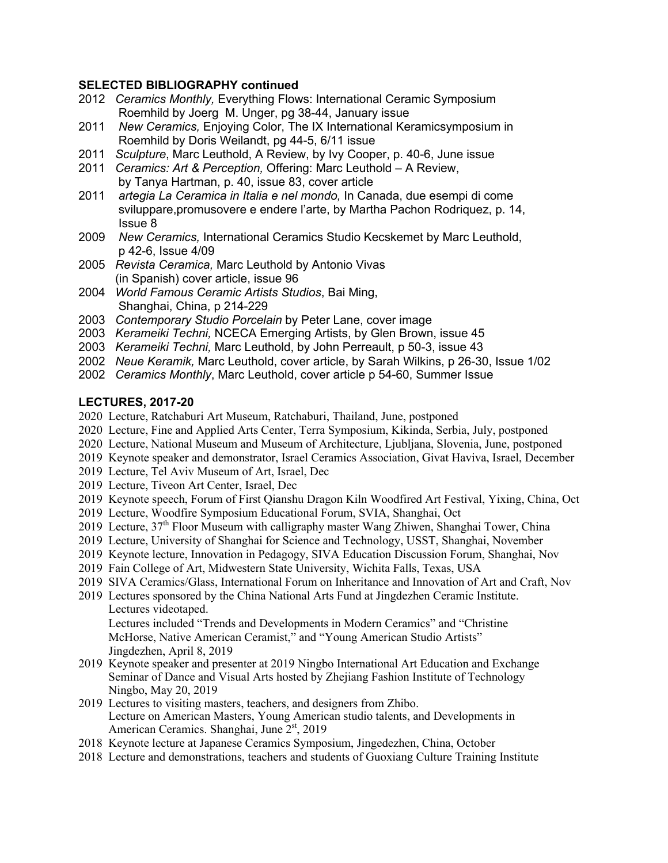## **SELECTED BIBLIOGRAPHY continued**

- 2012 *Ceramics Monthly,* Everything Flows: International Ceramic Symposium Roemhild by Joerg M. Unger, pg 38-44, January issue
- 2011 *New Ceramics,* Enjoying Color, The IX International Keramicsymposium in Roemhild by Doris Weilandt, pg 44-5, 6/11 issue
- 2011 *Sculpture*, Marc Leuthold, A Review, by Ivy Cooper, p. 40-6, June issue
- 2011 *Ceramics: Art & Perception,* Offering: Marc Leuthold A Review, by Tanya Hartman, p. 40, issue 83, cover article
- 2011 *artegia La Ceramica in Italia e nel mondo,* In Canada, due esempi di come sviluppare,promusovere e endere l'arte, by Martha Pachon Rodriquez, p. 14, Issue 8
- 2009 *New Ceramics,* International Ceramics Studio Kecskemet by Marc Leuthold, p 42-6, Issue 4/09
- 2005 *Revista Ceramica,* Marc Leuthold by Antonio Vivas (in Spanish) cover article, issue 96
- 2004 *World Famous Ceramic Artists Studios*, Bai Ming, Shanghai, China, p 214-229
- 2003 *Contemporary Studio Porcelain* by Peter Lane, cover image
- 2003 *Kerameiki Techni,* NCECA Emerging Artists, by Glen Brown, issue 45
- 2003 *Kerameiki Techni,* Marc Leuthold, by John Perreault, p 50-3, issue 43
- 2002 *Neue Keramik,* Marc Leuthold, cover article, by Sarah Wilkins, p 26-30, Issue 1/02
- 2002 *Ceramics Monthly*, Marc Leuthold, cover article p 54-60, Summer Issue

## **LECTURES, 2017-20**

- 2020 Lecture, Ratchaburi Art Museum, Ratchaburi, Thailand, June, postponed
- 2020 Lecture, Fine and Applied Arts Center, Terra Symposium, Kikinda, Serbia, July, postponed
- 2020 Lecture, National Museum and Museum of Architecture, Ljubljana, Slovenia, June, postponed
- 2019 Keynote speaker and demonstrator, Israel Ceramics Association, Givat Haviva, Israel, December
- 2019 Lecture, Tel Aviv Museum of Art, Israel, Dec
- 2019 Lecture, Tiveon Art Center, Israel, Dec
- 2019 Keynote speech, Forum of First Qianshu Dragon Kiln Woodfired Art Festival, Yixing, China, Oct
- 2019 Lecture, Woodfire Symposium Educational Forum, SVIA, Shanghai, Oct
- 2019 Lecture, 37th Floor Museum with calligraphy master Wang Zhiwen, Shanghai Tower, China
- 2019 Lecture, University of Shanghai for Science and Technology, USST, Shanghai, November
- 2019 Keynote lecture, Innovation in Pedagogy, SIVA Education Discussion Forum, Shanghai, Nov
- 2019 Fain College of Art, Midwestern State University, Wichita Falls, Texas, USA
- 2019 SIVA Ceramics/Glass, International Forum on Inheritance and Innovation of Art and Craft, Nov
- 2019 Lectures sponsored by the China National Arts Fund at Jingdezhen Ceramic Institute. Lectures videotaped. Lectures included "Trends and Developments in Modern Ceramics" and "Christine

 McHorse, Native American Ceramist," and "Young American Studio Artists" Jingdezhen, April 8, 2019

- 2019 Keynote speaker and presenter at 2019 Ningbo International Art Education and Exchange Seminar of Dance and Visual Arts hosted by Zhejiang Fashion Institute of Technology Ningbo, May 20, 2019
- 2019 Lectures to visiting masters, teachers, and designers from Zhibo. Lecture on American Masters, Young American studio talents, and Developments in American Ceramics. Shanghai, June 2<sup>st</sup>, 2019
- 2018 Keynote lecture at Japanese Ceramics Symposium, Jingedezhen, China, October
- 2018 Lecture and demonstrations, teachers and students of Guoxiang Culture Training Institute